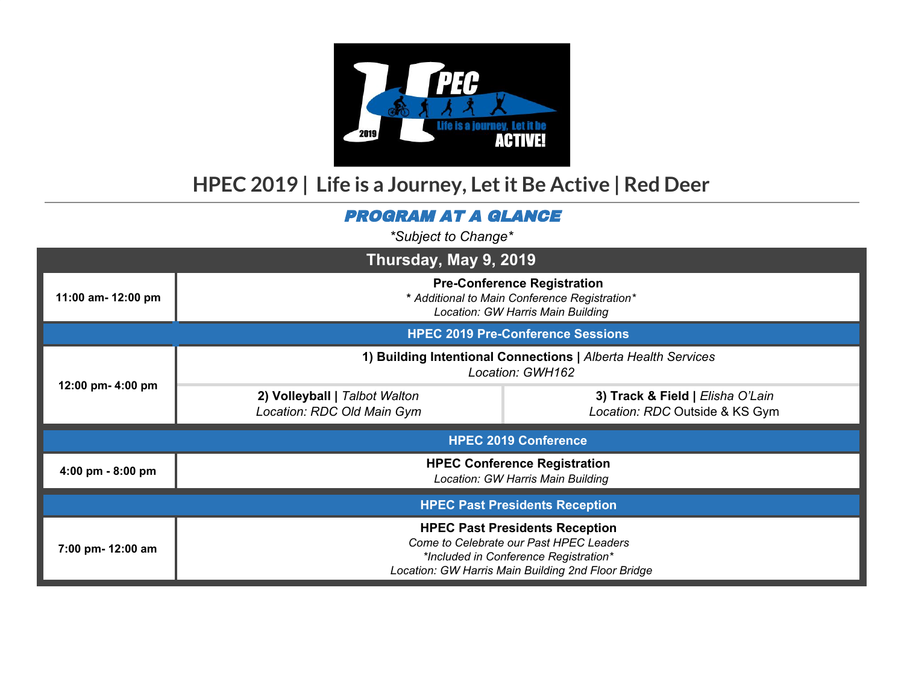

## **HPEC 2019 | Life is a Journey, Letit Be Active | Red Deer**

## PROGRAM AT A GLANCE

*\*Subject to Change\**

| Thursday, May 9, 2019                 |                                                                                                                                                                                 |                                                                    |  |  |  |
|---------------------------------------|---------------------------------------------------------------------------------------------------------------------------------------------------------------------------------|--------------------------------------------------------------------|--|--|--|
| 11:00 am- 12:00 pm                    | <b>Pre-Conference Registration</b><br>* Additional to Main Conference Registration*<br>Location: GW Harris Main Building                                                        |                                                                    |  |  |  |
|                                       | <b>HPEC 2019 Pre-Conference Sessions</b>                                                                                                                                        |                                                                    |  |  |  |
| 12:00 pm- 4:00 pm                     | 1) Building Intentional Connections   Alberta Health Services<br>Location: GWH162                                                                                               |                                                                    |  |  |  |
|                                       | 2) Volleyball   Talbot Walton<br>Location: RDC Old Main Gym                                                                                                                     | 3) Track & Field   Elisha O'Lain<br>Location: RDC Outside & KS Gym |  |  |  |
| <b>HPEC 2019 Conference</b>           |                                                                                                                                                                                 |                                                                    |  |  |  |
| 4:00 pm - 8:00 pm                     | <b>HPEC Conference Registration</b><br>Location: GW Harris Main Building                                                                                                        |                                                                    |  |  |  |
| <b>HPEC Past Presidents Reception</b> |                                                                                                                                                                                 |                                                                    |  |  |  |
| 7:00 pm- 12:00 am                     | <b>HPEC Past Presidents Reception</b><br>Come to Celebrate our Past HPEC Leaders<br>*Included in Conference Registration*<br>Location: GW Harris Main Building 2nd Floor Bridge |                                                                    |  |  |  |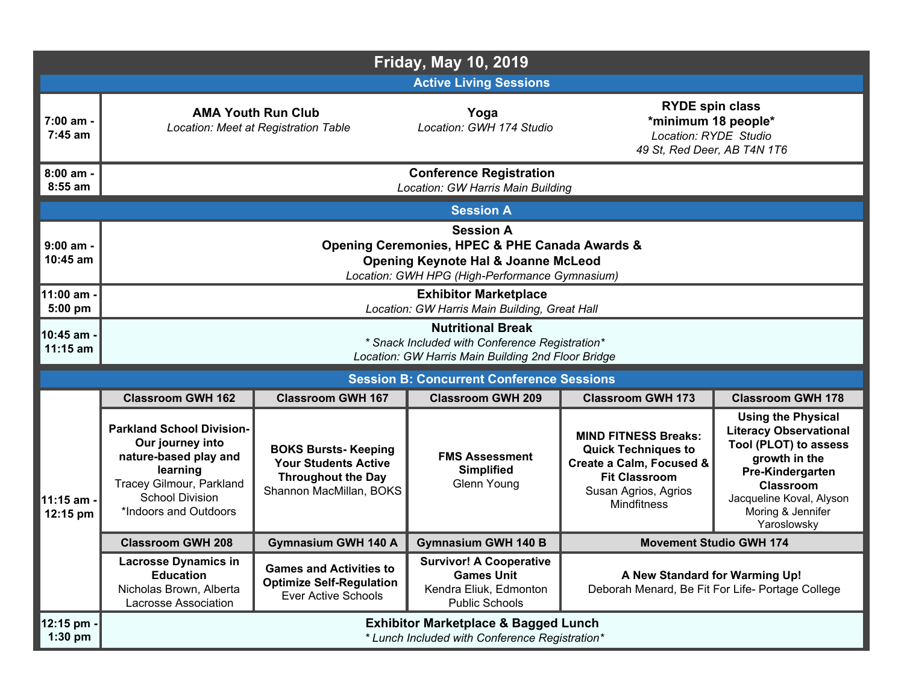| <b>Friday, May 10, 2019</b> |                                                                                                                                                                          |                                                                                                                    |                                                                                                        |                                                                                                                                                             |                                                                                                                                                                                                              |  |
|-----------------------------|--------------------------------------------------------------------------------------------------------------------------------------------------------------------------|--------------------------------------------------------------------------------------------------------------------|--------------------------------------------------------------------------------------------------------|-------------------------------------------------------------------------------------------------------------------------------------------------------------|--------------------------------------------------------------------------------------------------------------------------------------------------------------------------------------------------------------|--|
|                             | <b>Active Living Sessions</b>                                                                                                                                            |                                                                                                                    |                                                                                                        |                                                                                                                                                             |                                                                                                                                                                                                              |  |
| 7:00 am -<br>7:45 am        | <b>AMA Youth Run Club</b><br>Location: Meet at Registration Table                                                                                                        |                                                                                                                    | Yoga<br>Location: GWH 174 Studio                                                                       | <b>RYDE spin class</b><br>*minimum 18 people*<br>Location: RYDE Studio<br>49 St, Red Deer, AB T4N 1T6                                                       |                                                                                                                                                                                                              |  |
| $8:00$ am -<br>$8:55$ am    |                                                                                                                                                                          |                                                                                                                    | <b>Conference Registration</b><br>Location: GW Harris Main Building                                    |                                                                                                                                                             |                                                                                                                                                                                                              |  |
|                             |                                                                                                                                                                          |                                                                                                                    | <b>Session A</b>                                                                                       |                                                                                                                                                             |                                                                                                                                                                                                              |  |
| $9:00$ am -<br>10:45 am     | <b>Session A</b><br>Opening Ceremonies, HPEC & PHE Canada Awards &<br><b>Opening Keynote Hal &amp; Joanne McLeod</b><br>Location: GWH HPG (High-Performance Gymnasium)   |                                                                                                                    |                                                                                                        |                                                                                                                                                             |                                                                                                                                                                                                              |  |
| 11:00 am -<br>5:00 pm       | <b>Exhibitor Marketplace</b><br>Location: GW Harris Main Building, Great Hall                                                                                            |                                                                                                                    |                                                                                                        |                                                                                                                                                             |                                                                                                                                                                                                              |  |
| 10:45 am -<br>11:15 am      | <b>Nutritional Break</b><br>* Snack Included with Conference Registration*<br>Location: GW Harris Main Building 2nd Floor Bridge                                         |                                                                                                                    |                                                                                                        |                                                                                                                                                             |                                                                                                                                                                                                              |  |
|                             | <b>Session B: Concurrent Conference Sessions</b>                                                                                                                         |                                                                                                                    |                                                                                                        |                                                                                                                                                             |                                                                                                                                                                                                              |  |
|                             | <b>Classroom GWH 162</b>                                                                                                                                                 | <b>Classroom GWH 167</b>                                                                                           | <b>Classroom GWH 209</b>                                                                               | <b>Classroom GWH 173</b>                                                                                                                                    | <b>Classroom GWH 178</b>                                                                                                                                                                                     |  |
| 11:15 am -<br>12:15 pm      | <b>Parkland School Division-</b><br>Our journey into<br>nature-based play and<br>learning<br>Tracey Gilmour, Parkland<br><b>School Division</b><br>*Indoors and Outdoors | <b>BOKS Bursts- Keeping</b><br><b>Your Students Active</b><br><b>Throughout the Day</b><br>Shannon MacMillan, BOKS | <b>FMS Assessment</b><br><b>Simplified</b><br>Glenn Young                                              | <b>MIND FITNESS Breaks:</b><br><b>Quick Techniques to</b><br>Create a Calm, Focused &<br><b>Fit Classroom</b><br>Susan Agrios, Agrios<br><b>Mindfitness</b> | <b>Using the Physical</b><br><b>Literacy Observational</b><br>Tool (PLOT) to assess<br>growth in the<br>Pre-Kindergarten<br><b>Classroom</b><br>Jacqueline Koval, Alyson<br>Moring & Jennifer<br>Yaroslowsky |  |
|                             | <b>Classroom GWH 208</b>                                                                                                                                                 | <b>Gymnasium GWH 140 A</b>                                                                                         | <b>Gymnasium GWH 140 B</b>                                                                             | <b>Movement Studio GWH 174</b>                                                                                                                              |                                                                                                                                                                                                              |  |
|                             | <b>Lacrosse Dynamics in</b><br><b>Education</b><br>Nicholas Brown, Alberta<br>Lacrosse Association                                                                       | <b>Games and Activities to</b><br><b>Optimize Self-Regulation</b><br><b>Ever Active Schools</b>                    | <b>Survivor! A Cooperative</b><br><b>Games Unit</b><br>Kendra Eliuk, Edmonton<br><b>Public Schools</b> | A New Standard for Warming Up!<br>Deborah Menard, Be Fit For Life- Portage College                                                                          |                                                                                                                                                                                                              |  |
| 12:15 pm -<br>$1:30$ pm     | <b>Exhibitor Marketplace &amp; Bagged Lunch</b><br>* Lunch Included with Conference Registration*                                                                        |                                                                                                                    |                                                                                                        |                                                                                                                                                             |                                                                                                                                                                                                              |  |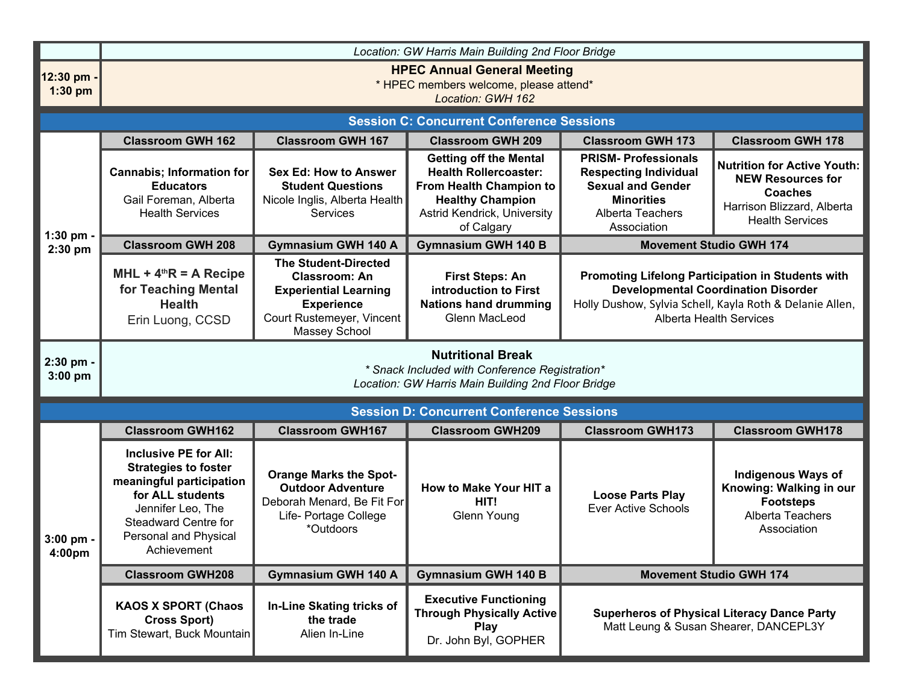|                          | Location: GW Harris Main Building 2nd Floor Bridge                                                                                                                                                             |                                                                                                                                                        |                                                                                                                                                                  |                                                                                                                                                                                               |                                                                                                                                          |  |
|--------------------------|----------------------------------------------------------------------------------------------------------------------------------------------------------------------------------------------------------------|--------------------------------------------------------------------------------------------------------------------------------------------------------|------------------------------------------------------------------------------------------------------------------------------------------------------------------|-----------------------------------------------------------------------------------------------------------------------------------------------------------------------------------------------|------------------------------------------------------------------------------------------------------------------------------------------|--|
| 12:30 pm -<br>$1:30$ pm  | <b>HPEC Annual General Meeting</b><br>* HPEC members welcome, please attend*<br>Location: GWH 162                                                                                                              |                                                                                                                                                        |                                                                                                                                                                  |                                                                                                                                                                                               |                                                                                                                                          |  |
|                          | <b>Session C: Concurrent Conference Sessions</b>                                                                                                                                                               |                                                                                                                                                        |                                                                                                                                                                  |                                                                                                                                                                                               |                                                                                                                                          |  |
|                          | <b>Classroom GWH 162</b>                                                                                                                                                                                       | <b>Classroom GWH 167</b>                                                                                                                               | <b>Classroom GWH 209</b>                                                                                                                                         | <b>Classroom GWH 173</b>                                                                                                                                                                      | <b>Classroom GWH 178</b>                                                                                                                 |  |
|                          | <b>Cannabis; Information for</b><br><b>Educators</b><br>Gail Foreman, Alberta<br><b>Health Services</b>                                                                                                        | <b>Sex Ed: How to Answer</b><br><b>Student Questions</b><br>Nicole Inglis, Alberta Health<br><b>Services</b>                                           | <b>Getting off the Mental</b><br><b>Health Rollercoaster:</b><br>From Health Champion to<br><b>Healthy Champion</b><br>Astrid Kendrick, University<br>of Calgary | <b>PRISM-Professionals</b><br><b>Respecting Individual</b><br><b>Sexual and Gender</b><br><b>Minorities</b><br>Alberta Teachers<br>Association                                                | <b>Nutrition for Active Youth:</b><br><b>NEW Resources for</b><br><b>Coaches</b><br>Harrison Blizzard, Alberta<br><b>Health Services</b> |  |
| $1:30$ pm -<br>$2:30$ pm | <b>Classroom GWH 208</b>                                                                                                                                                                                       | <b>Gymnasium GWH 140 A</b>                                                                                                                             | <b>Gymnasium GWH 140 B</b>                                                                                                                                       |                                                                                                                                                                                               | <b>Movement Studio GWH 174</b>                                                                                                           |  |
|                          | $MHL + 4thR = A$ Recipe<br>for Teaching Mental<br><b>Health</b><br>Erin Luong, CCSD                                                                                                                            | <b>The Student-Directed</b><br><b>Classroom: An</b><br><b>Experiential Learning</b><br><b>Experience</b><br>Court Rustemeyer, Vincent<br>Massey School | <b>First Steps: An</b><br>introduction to First<br><b>Nations hand drumming</b><br>Glenn MacLeod                                                                 | Promoting Lifelong Participation in Students with<br><b>Developmental Coordination Disorder</b><br>Holly Dushow, Sylvia Schell, Kayla Roth & Delanie Allen,<br><b>Alberta Health Services</b> |                                                                                                                                          |  |
| 2:30 pm -<br>$3:00$ pm   | <b>Nutritional Break</b><br>* Snack Included with Conference Registration*<br>Location: GW Harris Main Building 2nd Floor Bridge                                                                               |                                                                                                                                                        |                                                                                                                                                                  |                                                                                                                                                                                               |                                                                                                                                          |  |
|                          |                                                                                                                                                                                                                |                                                                                                                                                        | <b>Session D: Concurrent Conference Sessions</b>                                                                                                                 |                                                                                                                                                                                               |                                                                                                                                          |  |
|                          | <b>Classroom GWH162</b>                                                                                                                                                                                        | <b>Classroom GWH167</b>                                                                                                                                | <b>Classroom GWH209</b>                                                                                                                                          | <b>Classroom GWH173</b>                                                                                                                                                                       | <b>Classroom GWH178</b>                                                                                                                  |  |
| $3:00$ pm -<br>4:00pm    | <b>Inclusive PE for All:</b><br><b>Strategies to foster</b><br>meaningful participation<br>for ALL students<br>Jennifer Leo, The<br><b>Steadward Centre for</b><br><b>Personal and Physical</b><br>Achievement | <b>Orange Marks the Spot-</b><br><b>Outdoor Adventure</b><br>Deborah Menard, Be Fit For<br>Life- Portage College<br>*Outdoors                          | How to Make Your HIT a<br>HIT!<br>Glenn Young                                                                                                                    | <b>Loose Parts Play</b><br><b>Ever Active Schools</b>                                                                                                                                         | <b>Indigenous Ways of</b><br>Knowing: Walking in our<br><b>Footsteps</b><br>Alberta Teachers<br>Association                              |  |
|                          | <b>Classroom GWH208</b>                                                                                                                                                                                        | <b>Gymnasium GWH 140 A</b>                                                                                                                             | <b>Gymnasium GWH 140 B</b>                                                                                                                                       | <b>Movement Studio GWH 174</b>                                                                                                                                                                |                                                                                                                                          |  |
|                          | <b>KAOS X SPORT (Chaos</b><br><b>Cross Sport)</b><br>Tim Stewart, Buck Mountain                                                                                                                                | In-Line Skating tricks of<br>the trade<br>Alien In-Line                                                                                                | <b>Executive Functioning</b><br><b>Through Physically Active</b><br><b>Play</b><br>Dr. John Byl, GOPHER                                                          | <b>Superheros of Physical Literacy Dance Party</b><br>Matt Leung & Susan Shearer, DANCEPL3Y                                                                                                   |                                                                                                                                          |  |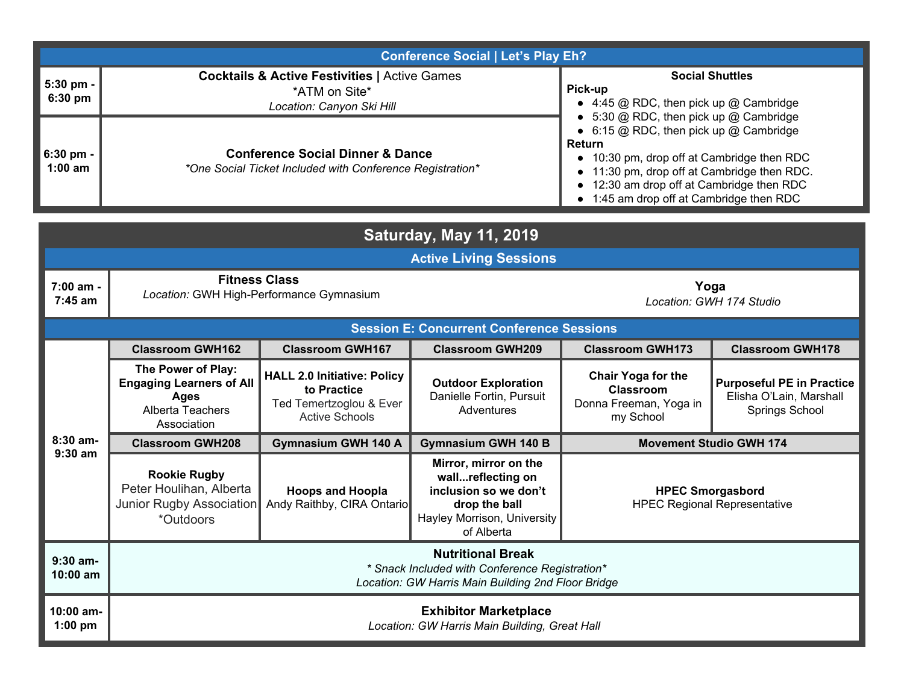|                          | <b>Conference Social   Let's Play Eh?</b>                                                                |                                                                                                                                                                                                                                                                                                       |  |  |  |
|--------------------------|----------------------------------------------------------------------------------------------------------|-------------------------------------------------------------------------------------------------------------------------------------------------------------------------------------------------------------------------------------------------------------------------------------------------------|--|--|--|
| $5:30$ pm -<br>$6:30$ pm | <b>Cocktails &amp; Active Festivities   Active Games</b><br>*ATM on Site*<br>Location: Canyon Ski Hill   | <b>Social Shuttles</b><br>Pick-up<br>$\bullet$ 4:45 @ RDC, then pick up @ Cambridge                                                                                                                                                                                                                   |  |  |  |
| $6:30$ pm -<br>$1:00$ am | <b>Conference Social Dinner &amp; Dance</b><br>*One Social Ticket Included with Conference Registration* | $\bullet$ 5:30 @ RDC, then pick up @ Cambridge<br>$\bullet$ 6:15 @ RDC, then pick up @ Cambridge<br><b>Return</b><br>10:30 pm, drop off at Cambridge then RDC<br>• 11:30 pm, drop off at Cambridge then RDC.<br>• 12:30 am drop off at Cambridge then RDC<br>• 1:45 am drop off at Cambridge then RDC |  |  |  |

| <b>Saturday, May 11, 2019</b> |                                                                                                                                  |                                                                                                       |                                                                                                                                   |                                                                               |                                                                               |  |
|-------------------------------|----------------------------------------------------------------------------------------------------------------------------------|-------------------------------------------------------------------------------------------------------|-----------------------------------------------------------------------------------------------------------------------------------|-------------------------------------------------------------------------------|-------------------------------------------------------------------------------|--|
|                               | <b>Active Living Sessions</b>                                                                                                    |                                                                                                       |                                                                                                                                   |                                                                               |                                                                               |  |
| 7:00 am -<br>7:45 am          | <b>Fitness Class</b><br>Location: GWH High-Performance Gymnasium                                                                 |                                                                                                       |                                                                                                                                   | Yoga<br>Location: GWH 174 Studio                                              |                                                                               |  |
|                               |                                                                                                                                  |                                                                                                       | <b>Session E: Concurrent Conference Sessions</b>                                                                                  |                                                                               |                                                                               |  |
|                               | <b>Classroom GWH162</b>                                                                                                          | <b>Classroom GWH167</b>                                                                               | <b>Classroom GWH209</b>                                                                                                           | <b>Classroom GWH173</b>                                                       | <b>Classroom GWH178</b>                                                       |  |
|                               | The Power of Play:<br><b>Engaging Learners of All</b><br>Ages<br>Alberta Teachers<br>Association                                 | <b>HALL 2.0 Initiative: Policy</b><br>to Practice<br>Ted Temertzoglou & Ever<br><b>Active Schools</b> | <b>Outdoor Exploration</b><br>Danielle Fortin, Pursuit<br>Adventures                                                              | <b>Chair Yoga for the</b><br>Classroom<br>Donna Freeman, Yoga in<br>my School | <b>Purposeful PE in Practice</b><br>Elisha O'Lain, Marshall<br>Springs School |  |
| 8:30 am-                      | <b>Classroom GWH208</b>                                                                                                          | <b>Gymnasium GWH 140 A</b>                                                                            | <b>Gymnasium GWH 140 B</b>                                                                                                        | <b>Movement Studio GWH 174</b>                                                |                                                                               |  |
| $9:30$ am                     | <b>Rookie Rugby</b><br>Peter Houlihan, Alberta<br>Junior Rugby Association<br>*Outdoors                                          | <b>Hoops and Hoopla</b><br>Andy Raithby, CIRA Ontario                                                 | Mirror, mirror on the<br>wallreflecting on<br>inclusion so we don't<br>drop the ball<br>Hayley Morrison, University<br>of Alberta | <b>HPEC Smorgasbord</b><br><b>HPEC Regional Representative</b>                |                                                                               |  |
| $9:30$ am-<br>$10:00$ am      | <b>Nutritional Break</b><br>* Snack Included with Conference Registration*<br>Location: GW Harris Main Building 2nd Floor Bridge |                                                                                                       |                                                                                                                                   |                                                                               |                                                                               |  |
| 10:00 am-<br>$1:00$ pm        | <b>Exhibitor Marketplace</b><br>Location: GW Harris Main Building, Great Hall                                                    |                                                                                                       |                                                                                                                                   |                                                                               |                                                                               |  |